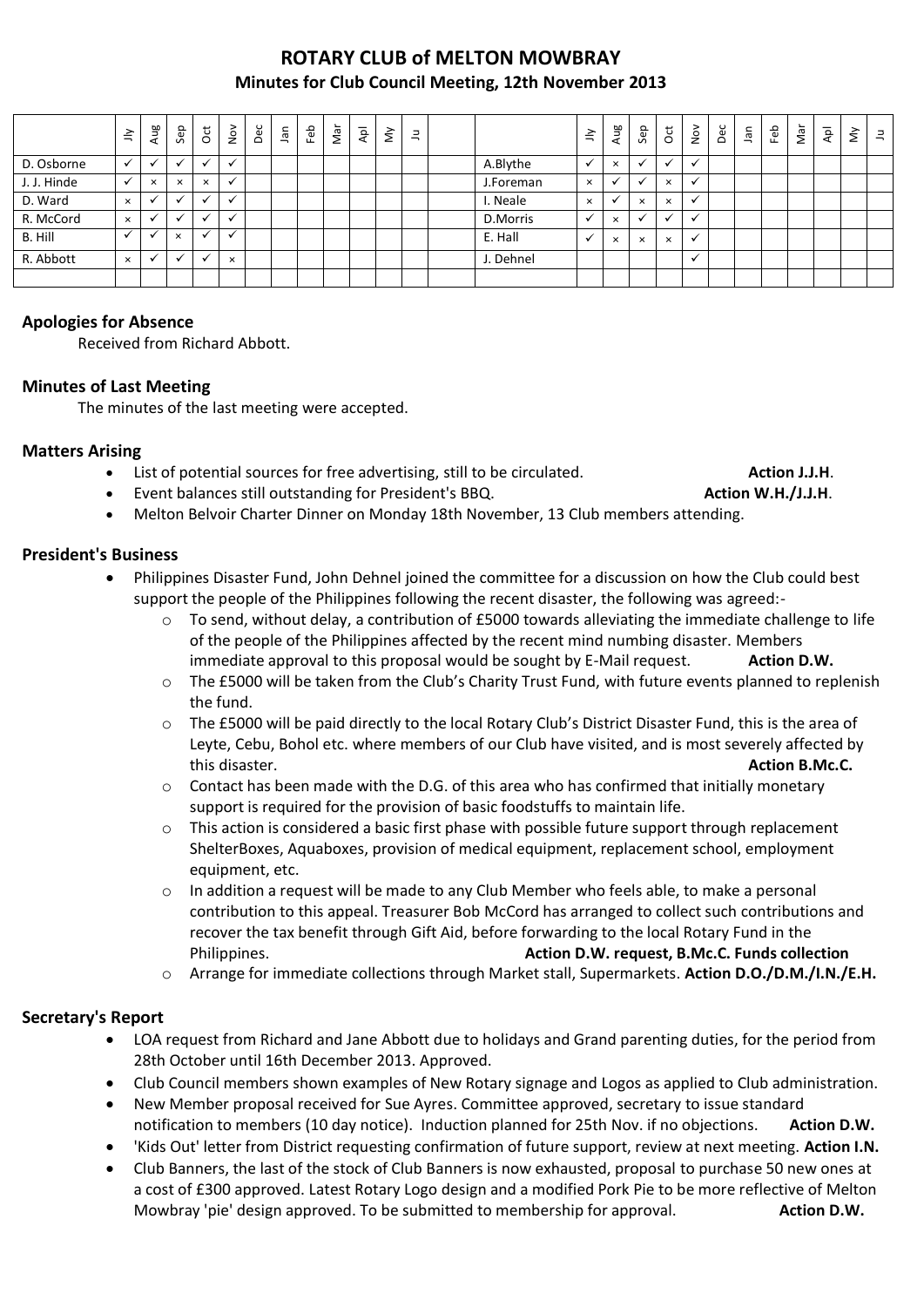## **ROTARY CLUB of MELTON MOWBRAY Minutes for Club Council Meeting, 12th November 2013**

|             | $\leq$       | Aug          | Sep      | $\overline{5}$       | $\sum_{i=1}^{\infty}$ | Dec | lan | Feb | Nar | ρþ | $\check{\varepsilon}$ | $\exists$ |           | $\leq$       | Aug      | Sep          | ğ        | $\frac{5}{2}$            | Dec | ٦ā | Feb | Nar | $\bar{A}$ | $\lessgtr$ | $\exists$ |
|-------------|--------------|--------------|----------|----------------------|-----------------------|-----|-----|-----|-----|----|-----------------------|-----------|-----------|--------------|----------|--------------|----------|--------------------------|-----|----|-----|-----|-----------|------------|-----------|
| D. Osborne  | $\checkmark$ | $\checkmark$ | $\cdot$  | $\checkmark$         | $\overline{ }$        |     |     |     |     |    |                       |           | A.Blythe  | $\mathbf{v}$ | $\times$ | $\mathbf{v}$ | ✓        | $\checkmark$             |     |    |     |     |           |            |           |
| J. J. Hinde | $\checkmark$ | $\times$     | $\times$ | $\times$             |                       |     |     |     |     |    |                       |           | J.Foreman | $\times$     |          | $\cdot$      | $\times$ |                          |     |    |     |     |           |            |           |
| D. Ward     | $\times$     | ◡            | $\cdot$  | $\checkmark$         |                       |     |     |     |     |    |                       |           | I. Neale  | $\times$     |          | $\times$     | $\times$ | $\cdot$                  |     |    |     |     |           |            |           |
| R. McCord   | $\times$     | $\checkmark$ | $\cdot$  | $\checkmark$         |                       |     |     |     |     |    |                       |           | D.Morris  | $\checkmark$ | $\times$ | $\mathbf{v}$ |          | $\overline{\phantom{a}}$ |     |    |     |     |           |            |           |
| B. Hill     | $\checkmark$ |              | $\times$ | $\ddot{\phantom{0}}$ |                       |     |     |     |     |    |                       |           | E. Hall   | $\mathbf{v}$ | $\times$ | $\times$     | $\times$ | v                        |     |    |     |     |           |            |           |
| R. Abbott   | $\times$     |              |          | $\ddot{\phantom{0}}$ | $\times$              |     |     |     |     |    |                       |           | J. Dehnel |              |          |              |          |                          |     |    |     |     |           |            |           |
|             |              |              |          |                      |                       |     |     |     |     |    |                       |           |           |              |          |              |          |                          |     |    |     |     |           |            |           |

### **Apologies for Absence**

Received from Richard Abbott.

#### **Minutes of Last Meeting**

The minutes of the last meeting were accepted.

#### **Matters Arising**

- List of potential sources for free advertising, still to be circulated. **Action J.J.H.**
- Event balances still outstanding for President's BBQ. **Action W.H./J.J.H**.

Melton Belvoir Charter Dinner on Monday 18th November, 13 Club members attending.

#### **President's Business**

- Philippines Disaster Fund, John Dehnel joined the committee for a discussion on how the Club could best support the people of the Philippines following the recent disaster, the following was agreed:
	- o To send, without delay, a contribution of £5000 towards alleviating the immediate challenge to life of the people of the Philippines affected by the recent mind numbing disaster. Members immediate approval to this proposal would be sought by E-Mail request. **Action D.W.**
	- o The £5000 will be taken from the Club's Charity Trust Fund, with future events planned to replenish the fund.
	- o The £5000 will be paid directly to the local Rotary Club's District Disaster Fund, this is the area of Leyte, Cebu, Bohol etc. where members of our Club have visited, and is most severely affected by this disaster. **Action B.Mc.C.**
	- $\circ$  Contact has been made with the D.G. of this area who has confirmed that initially monetary support is required for the provision of basic foodstuffs to maintain life.
	- $\circ$  This action is considered a basic first phase with possible future support through replacement ShelterBoxes, Aquaboxes, provision of medical equipment, replacement school, employment equipment, etc.
	- o In addition a request will be made to any Club Member who feels able, to make a personal contribution to this appeal. Treasurer Bob McCord has arranged to collect such contributions and recover the tax benefit through Gift Aid, before forwarding to the local Rotary Fund in the Philippines. **Action D.W. request, B.Mc.C. Funds collection**
	- o Arrange for immediate collections through Market stall, Supermarkets. **Action D.O./D.M./I.N./E.H.**

#### **Secretary's Report**

- LOA request from Richard and Jane Abbott due to holidays and Grand parenting duties, for the period from 28th October until 16th December 2013. Approved.
- Club Council members shown examples of New Rotary signage and Logos as applied to Club administration.
- New Member proposal received for Sue Ayres. Committee approved, secretary to issue standard notification to members (10 day notice). Induction planned for 25th Nov. if no objections. **Action D.W.**
- 'Kids Out' letter from District requesting confirmation of future support, review at next meeting. **Action I.N.**
- Club Banners, the last of the stock of Club Banners is now exhausted, proposal to purchase 50 new ones at a cost of £300 approved. Latest Rotary Logo design and a modified Pork Pie to be more reflective of Melton Mowbray 'pie' design approved. To be submitted to membership for approval. **Action D.W.**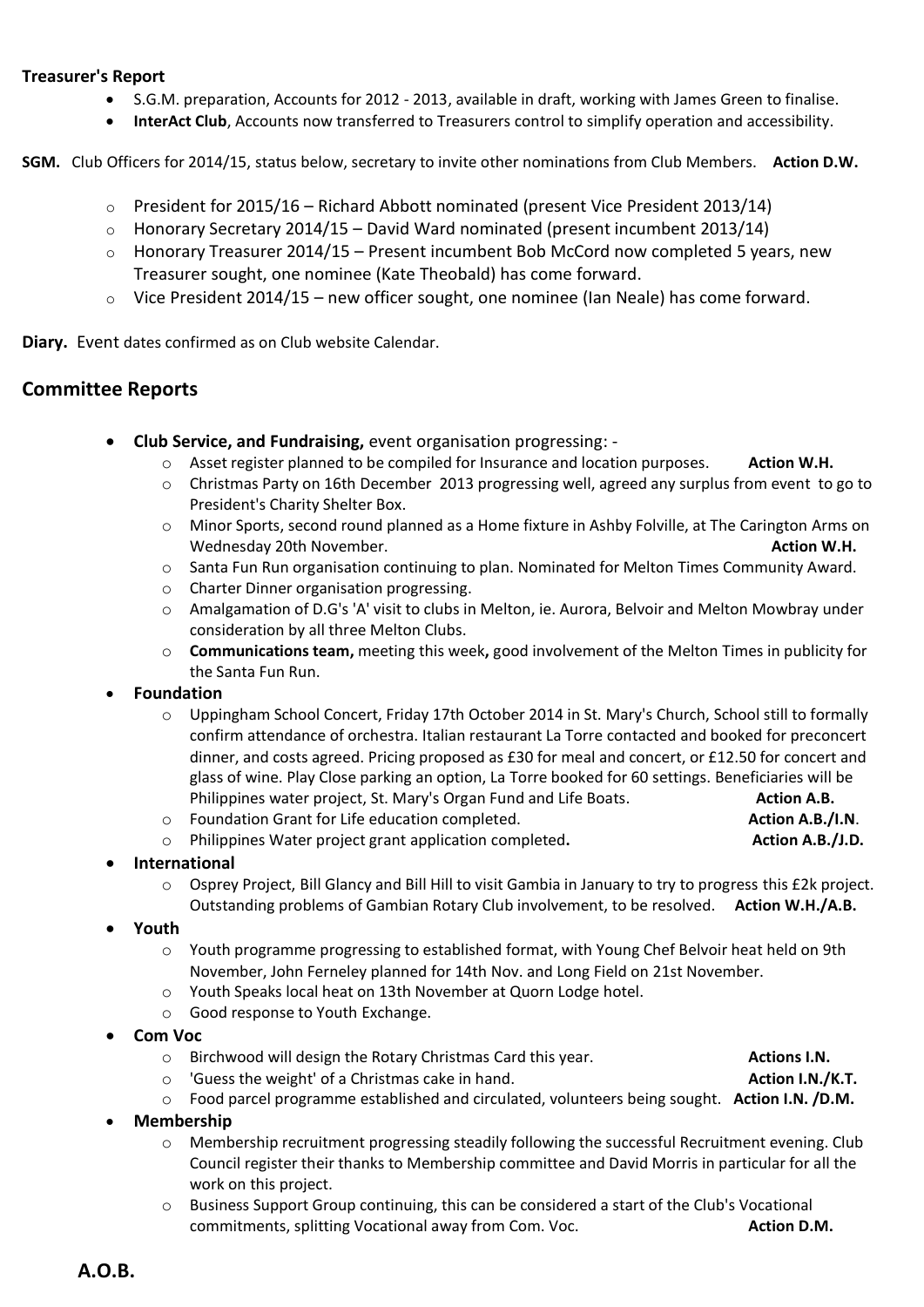#### **Treasurer's Report**

- S.G.M. preparation, Accounts for 2012 2013, available in draft, working with James Green to finalise.
- **InterAct Club**, Accounts now transferred to Treasurers control to simplify operation and accessibility.

**SGM.** Club Officers for 2014/15, status below, secretary to invite other nominations from Club Members. **Action D.W.**

- $\circ$  President for 2015/16 Richard Abbott nominated (present Vice President 2013/14)
- $\circ$  Honorary Secretary 2014/15 David Ward nominated (present incumbent 2013/14)
- $\circ$  Honorary Treasurer 2014/15 Present incumbent Bob McCord now completed 5 years, new Treasurer sought, one nominee (Kate Theobald) has come forward.
- $\circ$  Vice President 2014/15 new officer sought, one nominee (Ian Neale) has come forward.

**Diary.** Event dates confirmed as on Club website Calendar.

## **Committee Reports**

- **Club Service, and Fundraising,** event organisation progressing:
	- o Asset register planned to be compiled for Insurance and location purposes. **Action W.H.**
	- o Christmas Party on 16th December 2013 progressing well, agreed any surplus from event to go to President's Charity Shelter Box.
	- o Minor Sports, second round planned as a Home fixture in Ashby Folville, at The Carington Arms on Wednesday 20th November. **Action W.H. Action W.H. Action W.H.**
	- o Santa Fun Run organisation continuing to plan. Nominated for Melton Times Community Award.
	- o Charter Dinner organisation progressing.
	- o Amalgamation of D.G's 'A' visit to clubs in Melton, ie. Aurora, Belvoir and Melton Mowbray under consideration by all three Melton Clubs.
	- o **Communications team,** meeting this week**,** good involvement of the Melton Times in publicity for the Santa Fun Run.

#### **Foundation**

o Uppingham School Concert, Friday 17th October 2014 in St. Mary's Church, School still to formally confirm attendance of orchestra. Italian restaurant La Torre contacted and booked for preconcert dinner, and costs agreed. Pricing proposed as £30 for meal and concert, or £12.50 for concert and glass of wine. Play Close parking an option, La Torre booked for 60 settings. Beneficiaries will be Philippines water project, St. Mary's Organ Fund and Life Boats. **Action A.B.** Action A.B.

o Foundation Grant for Life education completed. **Action A.B./I.N**.

o Philippines Water project grant application completed**. Action A.B./J.D.**

#### **International**

- o Osprey Project, Bill Glancy and Bill Hill to visit Gambia in January to try to progress this £2k project. Outstanding problems of Gambian Rotary Club involvement, to be resolved. **Action W.H./A.B.**
- **Youth**
	- o Youth programme progressing to established format, with Young Chef Belvoir heat held on 9th November, John Ferneley planned for 14th Nov. and Long Field on 21st November.
	- o Youth Speaks local heat on 13th November at Quorn Lodge hotel.
	- o Good response to Youth Exchange.
- **Com Voc**
	- o Birchwood will design the Rotary Christmas Card this year. **Actions I.N.**
	- o 'Guess the weight' of a Christmas cake in hand. **Action I.N./K.T.**
	- o Food parcel programme established and circulated, volunteers being sought. **Action I.N. /D.M.**
- **Membership**
	- o Membership recruitment progressing steadily following the successful Recruitment evening. Club Council register their thanks to Membership committee and David Morris in particular for all the work on this project.
	- Business Support Group continuing, this can be considered a start of the Club's Vocational commitments, splitting Vocational away from Com. Voc. **Action D.M. Action D.M.**